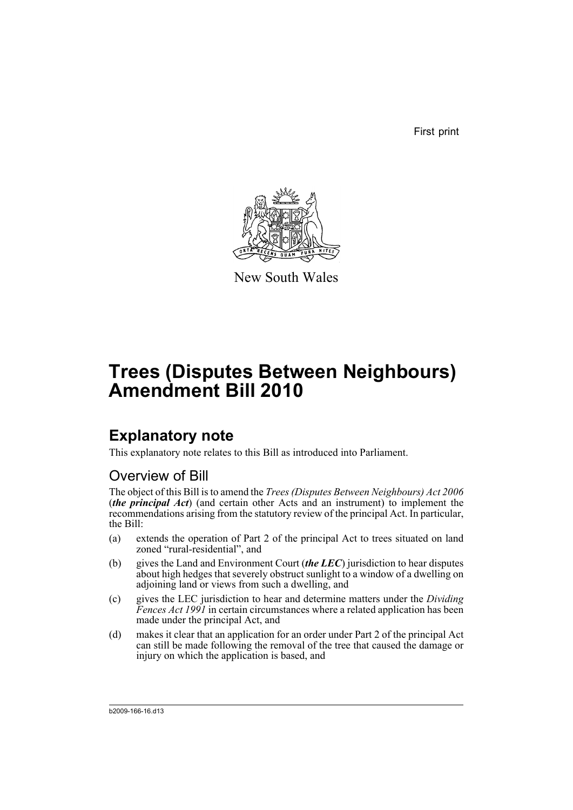First print



New South Wales

# **Trees (Disputes Between Neighbours) Amendment Bill 2010**

## **Explanatory note**

This explanatory note relates to this Bill as introduced into Parliament.

### Overview of Bill

The object of this Bill is to amend the *Trees (Disputes Between Neighbours) Act 2006* (*the principal Act*) (and certain other Acts and an instrument) to implement the recommendations arising from the statutory review of the principal Act. In particular, the Bill:

- (a) extends the operation of Part 2 of the principal Act to trees situated on land zoned "rural-residential", and
- (b) gives the Land and Environment Court (*the LEC*) jurisdiction to hear disputes about high hedges that severely obstruct sunlight to a window of a dwelling on adjoining land or views from such a dwelling, and
- (c) gives the LEC jurisdiction to hear and determine matters under the *Dividing Fences Act 1991* in certain circumstances where a related application has been made under the principal Act, and
- (d) makes it clear that an application for an order under Part 2 of the principal Act can still be made following the removal of the tree that caused the damage or injury on which the application is based, and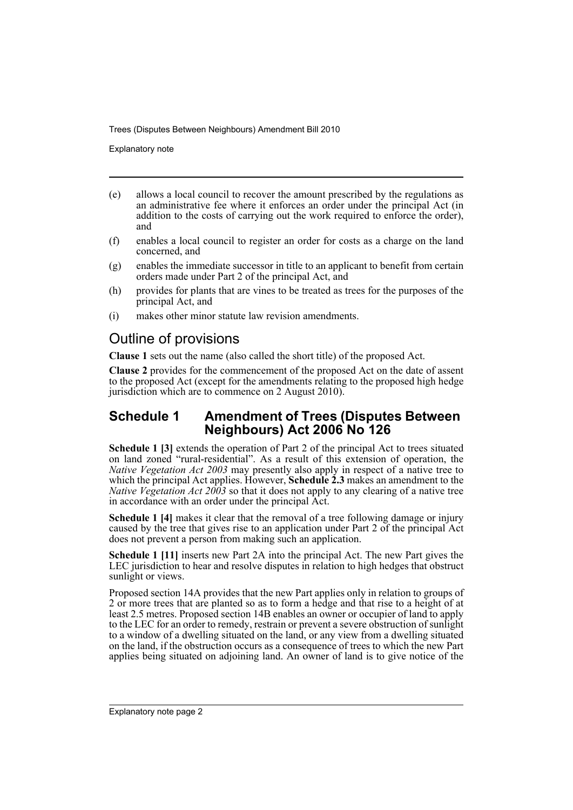Explanatory note

- (e) allows a local council to recover the amount prescribed by the regulations as an administrative fee where it enforces an order under the principal Act (in addition to the costs of carrying out the work required to enforce the order), and
- (f) enables a local council to register an order for costs as a charge on the land concerned, and
- (g) enables the immediate successor in title to an applicant to benefit from certain orders made under Part 2 of the principal Act, and
- (h) provides for plants that are vines to be treated as trees for the purposes of the principal Act, and
- (i) makes other minor statute law revision amendments.

### Outline of provisions

**Clause 1** sets out the name (also called the short title) of the proposed Act.

**Clause 2** provides for the commencement of the proposed Act on the date of assent to the proposed Act (except for the amendments relating to the proposed high hedge jurisdiction which are to commence on 2 August 2010).

### **Schedule 1 Amendment of Trees (Disputes Between Neighbours) Act 2006 No 126**

**Schedule 1 [3]** extends the operation of Part 2 of the principal Act to trees situated on land zoned "rural-residential". As a result of this extension of operation, the *Native Vegetation Act 2003* may presently also apply in respect of a native tree to which the principal Act applies. However, **Schedule 2.3** makes an amendment to the *Native Vegetation Act 2003* so that it does not apply to any clearing of a native tree in accordance with an order under the principal Act.

**Schedule 1 [4]** makes it clear that the removal of a tree following damage or injury caused by the tree that gives rise to an application under Part 2 of the principal Act does not prevent a person from making such an application.

**Schedule 1 [11]** inserts new Part 2A into the principal Act. The new Part gives the LEC jurisdiction to hear and resolve disputes in relation to high hedges that obstruct sunlight or views.

Proposed section 14A provides that the new Part applies only in relation to groups of 2 or more trees that are planted so as to form a hedge and that rise to a height of at least 2.5 metres. Proposed section 14B enables an owner or occupier of land to apply to the LEC for an order to remedy, restrain or prevent a severe obstruction of sunlight to a window of a dwelling situated on the land, or any view from a dwelling situated on the land, if the obstruction occurs as a consequence of trees to which the new Part applies being situated on adjoining land. An owner of land is to give notice of the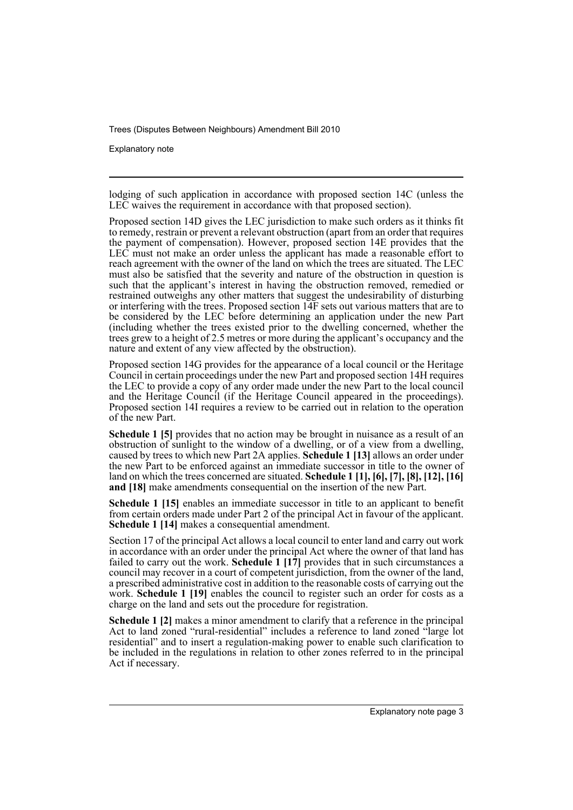Explanatory note

lodging of such application in accordance with proposed section 14C (unless the LEC waives the requirement in accordance with that proposed section).

Proposed section 14D gives the LEC jurisdiction to make such orders as it thinks fit to remedy, restrain or prevent a relevant obstruction (apart from an order that requires the payment of compensation). However, proposed section 14E provides that the LEC must not make an order unless the applicant has made a reasonable effort to reach agreement with the owner of the land on which the trees are situated. The LEC must also be satisfied that the severity and nature of the obstruction in question is such that the applicant's interest in having the obstruction removed, remedied or restrained outweighs any other matters that suggest the undesirability of disturbing or interfering with the trees. Proposed section 14F sets out various matters that are to be considered by the LEC before determining an application under the new Part (including whether the trees existed prior to the dwelling concerned, whether the trees grew to a height of 2.5 metres or more during the applicant's occupancy and the nature and extent of any view affected by the obstruction).

Proposed section 14G provides for the appearance of a local council or the Heritage Council in certain proceedings under the new Part and proposed section 14H requires the LEC to provide a copy of any order made under the new Part to the local council and the Heritage Council (if the Heritage Council appeared in the proceedings). Proposed section 14I requires a review to be carried out in relation to the operation of the new Part.

**Schedule 1 [5]** provides that no action may be brought in nuisance as a result of an obstruction of sunlight to the window of a dwelling, or of a view from a dwelling, caused by trees to which new Part 2A applies. **Schedule 1 [13]** allows an order under the new Part to be enforced against an immediate successor in title to the owner of land on which the trees concerned are situated. **Schedule 1 [1], [6], [7], [8], [12], [16] and [18]** make amendments consequential on the insertion of the new Part.

**Schedule 1 [15]** enables an immediate successor in title to an applicant to benefit from certain orders made under Part 2 of the principal Act in favour of the applicant. **Schedule 1 [14]** makes a consequential amendment.

Section 17 of the principal Act allows a local council to enter land and carry out work in accordance with an order under the principal Act where the owner of that land has failed to carry out the work. **Schedule 1 [17]** provides that in such circumstances a council may recover in a court of competent jurisdiction, from the owner of the land, a prescribed administrative cost in addition to the reasonable costs of carrying out the work. **Schedule 1 [19]** enables the council to register such an order for costs as a charge on the land and sets out the procedure for registration.

**Schedule 1 [2]** makes a minor amendment to clarify that a reference in the principal Act to land zoned "rural-residential" includes a reference to land zoned "large lot residential" and to insert a regulation-making power to enable such clarification to be included in the regulations in relation to other zones referred to in the principal Act if necessary.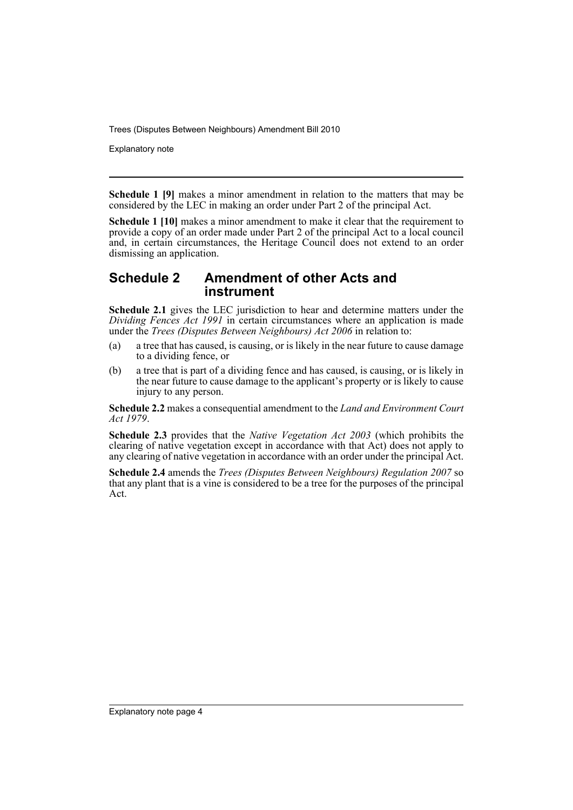Explanatory note

**Schedule 1 [9]** makes a minor amendment in relation to the matters that may be considered by the LEC in making an order under Part 2 of the principal Act.

**Schedule 1 [10]** makes a minor amendment to make it clear that the requirement to provide a copy of an order made under Part 2 of the principal Act to a local council and, in certain circumstances, the Heritage Council does not extend to an order dismissing an application.

### **Schedule 2 Amendment of other Acts and instrument**

**Schedule 2.1** gives the LEC jurisdiction to hear and determine matters under the *Dividing Fences Act 1991* in certain circumstances where an application is made under the *Trees (Disputes Between Neighbours) Act 2006* in relation to:

- (a) a tree that has caused, is causing, or is likely in the near future to cause damage to a dividing fence, or
- (b) a tree that is part of a dividing fence and has caused, is causing, or is likely in the near future to cause damage to the applicant's property or is likely to cause injury to any person.

**Schedule 2.2** makes a consequential amendment to the *Land and Environment Court Act 1979*.

**Schedule 2.3** provides that the *Native Vegetation Act 2003* (which prohibits the clearing of native vegetation except in accordance with that Act) does not apply to any clearing of native vegetation in accordance with an order under the principal Act.

**Schedule 2.4** amends the *Trees (Disputes Between Neighbours) Regulation 2007* so that any plant that is a vine is considered to be a tree for the purposes of the principal Act.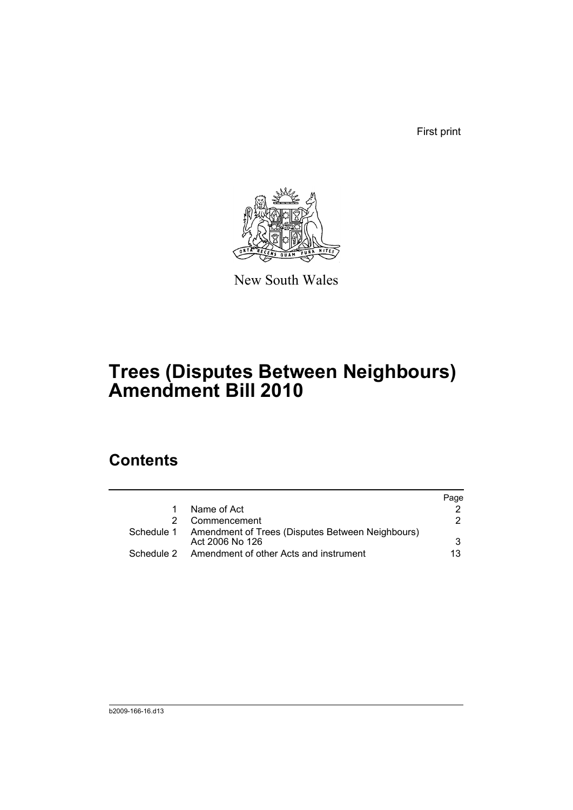First print



New South Wales

## **Trees (Disputes Between Neighbours) Amendment Bill 2010**

### **Contents**

|            |                                                                                | Page |
|------------|--------------------------------------------------------------------------------|------|
|            | Name of Act                                                                    |      |
|            | 2 Commencement                                                                 |      |
|            | Schedule 1 Amendment of Trees (Disputes Between Neighbours)<br>Act 2006 No 126 |      |
| Schedule 2 | Amendment of other Acts and instrument                                         | 13   |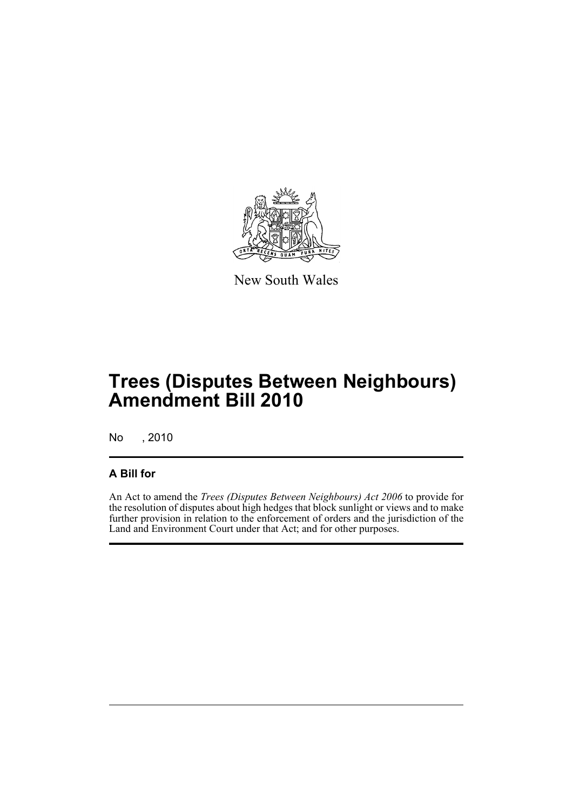

New South Wales

## **Trees (Disputes Between Neighbours) Amendment Bill 2010**

No , 2010

### **A Bill for**

An Act to amend the *Trees (Disputes Between Neighbours) Act 2006* to provide for the resolution of disputes about high hedges that block sunlight or views and to make further provision in relation to the enforcement of orders and the jurisdiction of the Land and Environment Court under that Act; and for other purposes.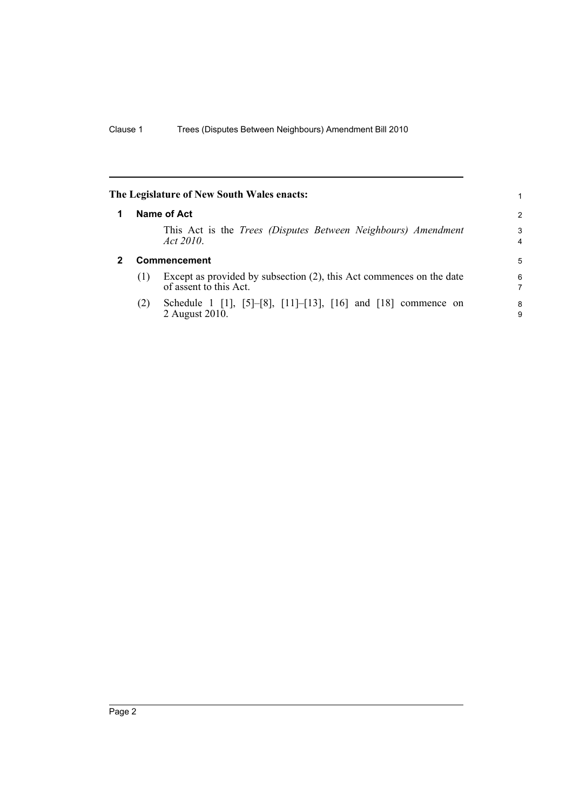<span id="page-7-1"></span><span id="page-7-0"></span>

|   |     | The Legislature of New South Wales enacts:                                                     |        |
|---|-----|------------------------------------------------------------------------------------------------|--------|
| 1 |     | Name of Act                                                                                    | 2      |
|   |     | This Act is the <i>Trees (Disputes Between Neighbours)</i> Amendment<br>Act 2010.              | 3<br>4 |
| 2 |     | Commencement                                                                                   | 5      |
|   | (1) | Except as provided by subsection (2), this Act commences on the date<br>of assent to this Act. | 6<br>7 |
|   | (2) | Schedule 1 [1], [5]-[8], [11]-[13], [16] and [18] commence on<br>2 August 2010.                | 8<br>9 |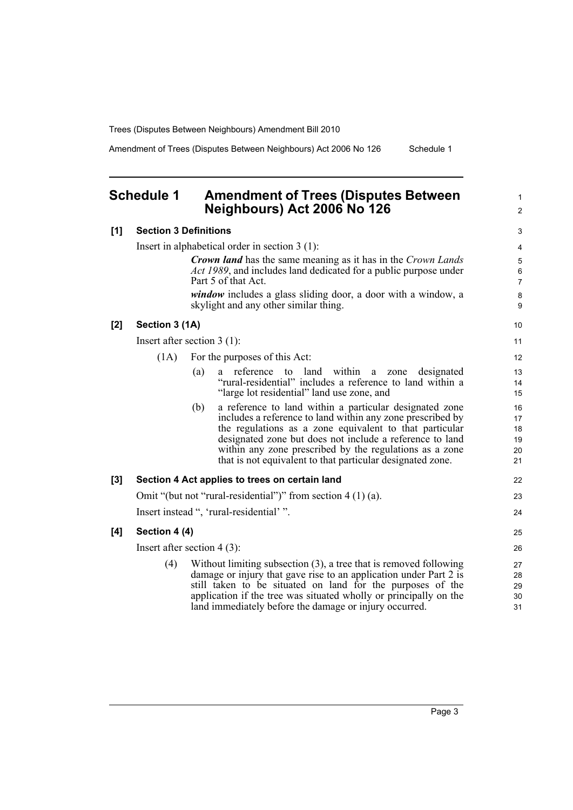Amendment of Trees (Disputes Between Neighbours) Act 2006 No 126 Schedule 1

1 2

### <span id="page-8-0"></span>**Schedule 1 Amendment of Trees (Disputes Between Neighbours) Act 2006 No 126**

| [1] | <b>Section 3 Definitions</b>  |     |                                                                                                                                                                                                                                                                                                                                                                       |                                  |  |
|-----|-------------------------------|-----|-----------------------------------------------------------------------------------------------------------------------------------------------------------------------------------------------------------------------------------------------------------------------------------------------------------------------------------------------------------------------|----------------------------------|--|
|     |                               |     | Insert in alphabetical order in section $3(1)$ :                                                                                                                                                                                                                                                                                                                      | $\overline{\mathbf{4}}$          |  |
|     |                               |     | <b>Crown land</b> has the same meaning as it has in the Crown Lands<br>Act 1989, and includes land dedicated for a public purpose under<br>Part 5 of that Act.                                                                                                                                                                                                        | 5<br>6<br>$\overline{7}$         |  |
|     |                               |     | <i>window</i> includes a glass sliding door, a door with a window, a<br>skylight and any other similar thing.                                                                                                                                                                                                                                                         | $\bf8$<br>9                      |  |
| [2] | Section 3 (1A)                |     |                                                                                                                                                                                                                                                                                                                                                                       | 10                               |  |
|     | Insert after section $3(1)$ : |     |                                                                                                                                                                                                                                                                                                                                                                       | 11                               |  |
|     | (1A)                          |     | For the purposes of this Act:                                                                                                                                                                                                                                                                                                                                         | 12                               |  |
|     |                               | (a) | within<br>a reference to land<br>designated<br>zone<br>a<br>"rural-residential" includes a reference to land within a<br>"large lot residential" land use zone, and                                                                                                                                                                                                   | 13<br>14<br>15                   |  |
|     |                               | (b) | a reference to land within a particular designated zone<br>includes a reference to land within any zone prescribed by<br>the regulations as a zone equivalent to that particular<br>designated zone but does not include a reference to land<br>within any zone prescribed by the regulations as a zone<br>that is not equivalent to that particular designated zone. | 16<br>17<br>18<br>19<br>20<br>21 |  |
| [3] |                               |     | Section 4 Act applies to trees on certain land                                                                                                                                                                                                                                                                                                                        | 22                               |  |
|     |                               |     | Omit "(but not "rural-residential")" from section $4(1)(a)$ .                                                                                                                                                                                                                                                                                                         | 23                               |  |
|     |                               |     | Insert instead ", 'rural-residential' ".                                                                                                                                                                                                                                                                                                                              | 24                               |  |
| [4] | Section 4 (4)                 |     |                                                                                                                                                                                                                                                                                                                                                                       | 25                               |  |
|     | Insert after section $4(3)$ : |     |                                                                                                                                                                                                                                                                                                                                                                       |                                  |  |
|     | (4)                           |     | Without limiting subsection $(3)$ , a tree that is removed following<br>damage or injury that gave rise to an application under Part 2 is<br>still taken to be situated on land for the purposes of the<br>application if the tree was situated wholly or principally on the<br>land immediately before the damage or injury occurred.                                | 27<br>28<br>29<br>30<br>31       |  |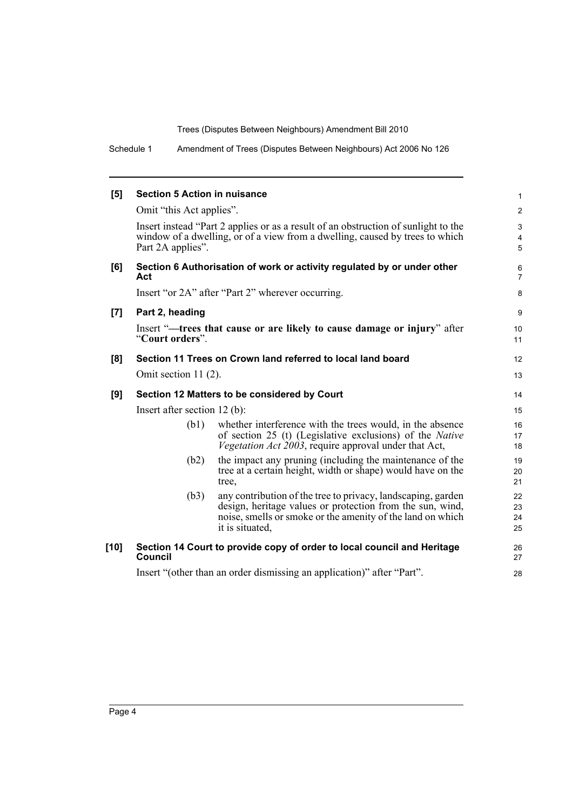Schedule 1 Amendment of Trees (Disputes Between Neighbours) Act 2006 No 126

| [5]    | <b>Section 5 Action in nuisance</b>          |                                                                                                                                                                                                            | $\mathbf{1}$             |  |  |
|--------|----------------------------------------------|------------------------------------------------------------------------------------------------------------------------------------------------------------------------------------------------------------|--------------------------|--|--|
|        | Omit "this Act applies".                     |                                                                                                                                                                                                            | $\overline{2}$           |  |  |
|        | Part 2A applies".                            | Insert instead "Part 2 applies or as a result of an obstruction of sunlight to the<br>window of a dwelling, or of a view from a dwelling, caused by trees to which                                         | 3<br>$\overline{4}$<br>5 |  |  |
| [6]    | Act                                          | Section 6 Authorisation of work or activity regulated by or under other                                                                                                                                    | 6<br>$\overline{7}$      |  |  |
|        |                                              | Insert "or 2A" after "Part 2" wherever occurring.                                                                                                                                                          | 8                        |  |  |
| [7]    | Part 2, heading                              |                                                                                                                                                                                                            | 9                        |  |  |
|        | "Court orders".                              | Insert "-trees that cause or are likely to cause damage or injury" after                                                                                                                                   | 10<br>11                 |  |  |
| [8]    |                                              | Section 11 Trees on Crown land referred to local land board                                                                                                                                                | 12                       |  |  |
|        | Omit section $11(2)$ .                       |                                                                                                                                                                                                            | 13                       |  |  |
| [9]    | Section 12 Matters to be considered by Court |                                                                                                                                                                                                            |                          |  |  |
|        | Insert after section $12$ (b):               |                                                                                                                                                                                                            |                          |  |  |
|        | (b1)                                         | whether interference with the trees would, in the absence<br>of section 25 (t) (Legislative exclusions) of the <i>Native</i><br><i>Vegetation Act 2003</i> , require approval under that Act,              | 16<br>17<br>18           |  |  |
|        | (b2)                                         | the impact any pruning (including the maintenance of the<br>tree at a certain height, width or shape) would have on the<br>tree.                                                                           | 19<br>20<br>21           |  |  |
|        | (b3)                                         | any contribution of the tree to privacy, landscaping, garden<br>design, heritage values or protection from the sun, wind,<br>noise, smells or smoke or the amenity of the land on which<br>it is situated, | 22<br>23<br>24<br>25     |  |  |
| $[10]$ | Council                                      | Section 14 Court to provide copy of order to local council and Heritage                                                                                                                                    | 26<br>27                 |  |  |
|        |                                              | Insert "(other than an order dismissing an application)" after "Part".                                                                                                                                     | 28                       |  |  |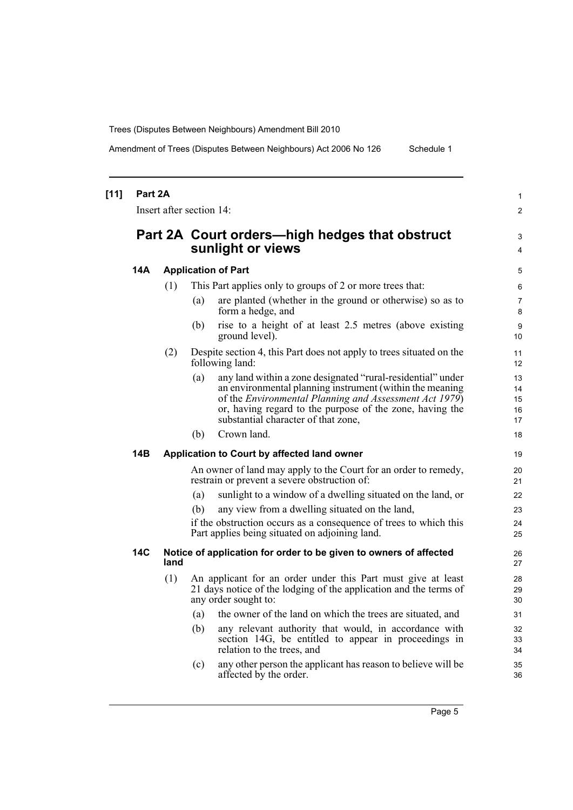Amendment of Trees (Disputes Between Neighbours) Act 2006 No 126 Schedule 1

| $[11]$ | Part 2A |      |                            |                                                                                                                                                                                                                                                                                      |                            |  |
|--------|---------|------|----------------------------|--------------------------------------------------------------------------------------------------------------------------------------------------------------------------------------------------------------------------------------------------------------------------------------|----------------------------|--|
|        |         |      |                            | Insert after section 14:                                                                                                                                                                                                                                                             |                            |  |
|        |         |      |                            | Part 2A Court orders—high hedges that obstruct<br>sunlight or views                                                                                                                                                                                                                  | 3<br>4                     |  |
|        | 14A     |      | <b>Application of Part</b> |                                                                                                                                                                                                                                                                                      |                            |  |
|        |         | (1)  |                            | This Part applies only to groups of 2 or more trees that:                                                                                                                                                                                                                            | 6                          |  |
|        |         |      | (a)                        | are planted (whether in the ground or otherwise) so as to<br>form a hedge, and                                                                                                                                                                                                       | 7<br>8                     |  |
|        |         |      | (b)                        | rise to a height of at least 2.5 metres (above existing<br>ground level).                                                                                                                                                                                                            | 9<br>10                    |  |
|        |         | (2)  |                            | Despite section 4, this Part does not apply to trees situated on the<br>following land:                                                                                                                                                                                              | 11<br>12                   |  |
|        |         |      | (a)                        | any land within a zone designated "rural-residential" under<br>an environmental planning instrument (within the meaning<br>of the Environmental Planning and Assessment Act 1979)<br>or, having regard to the purpose of the zone, having the<br>substantial character of that zone, | 13<br>14<br>15<br>16<br>17 |  |
|        |         |      | (b)                        | Crown land.                                                                                                                                                                                                                                                                          | 18                         |  |
|        | 14B     |      |                            | Application to Court by affected land owner                                                                                                                                                                                                                                          | 19                         |  |
|        |         |      |                            | An owner of land may apply to the Court for an order to remedy,<br>restrain or prevent a severe obstruction of:                                                                                                                                                                      | 20<br>21                   |  |
|        |         |      | (a)                        | sunlight to a window of a dwelling situated on the land, or                                                                                                                                                                                                                          | 22                         |  |
|        |         |      | (b)                        | any view from a dwelling situated on the land,                                                                                                                                                                                                                                       | 23                         |  |
|        |         |      |                            | if the obstruction occurs as a consequence of trees to which this<br>Part applies being situated on adjoining land.                                                                                                                                                                  | 24<br>25                   |  |
|        | 14C     | land |                            | Notice of application for order to be given to owners of affected                                                                                                                                                                                                                    | 26<br>27                   |  |
|        |         | (1)  |                            | An applicant for an order under this Part must give at least<br>21 days notice of the lodging of the application and the terms of<br>any order sought to:                                                                                                                            | 28<br>29<br>30             |  |
|        |         |      | (a)                        | the owner of the land on which the trees are situated, and                                                                                                                                                                                                                           | 31                         |  |
|        |         |      | (b)                        | any relevant authority that would, in accordance with<br>section 14G, be entitled to appear in proceedings in<br>relation to the trees, and                                                                                                                                          | 32<br>33<br>34             |  |
|        |         |      | (c)                        | any other person the applicant has reason to believe will be<br>affected by the order.                                                                                                                                                                                               | 35<br>36                   |  |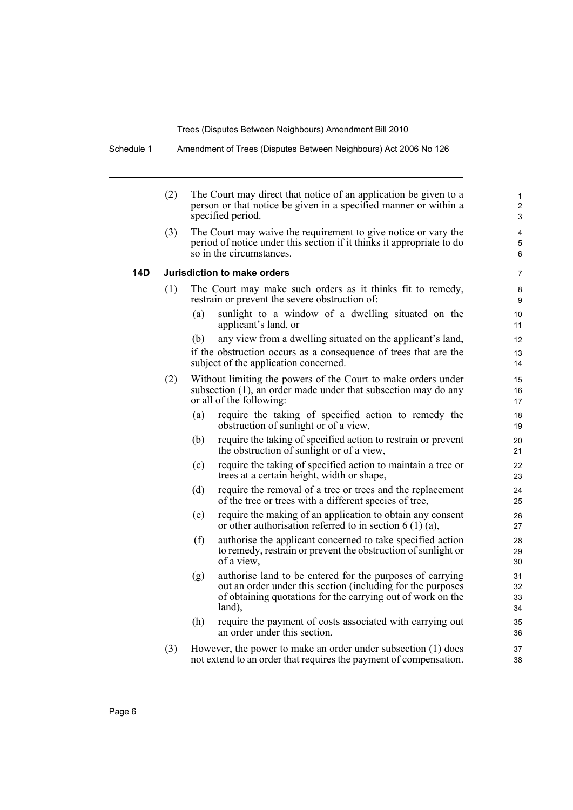Schedule 1 Amendment of Trees (Disputes Between Neighbours) Act 2006 No 126

| (2) | The Court may direct that notice of an application be given to a<br>person or that notice be given in a specified manner or within a<br>specified period.                                                |                      |  |  |  |  |  |
|-----|----------------------------------------------------------------------------------------------------------------------------------------------------------------------------------------------------------|----------------------|--|--|--|--|--|
| (3) | The Court may waive the requirement to give notice or vary the<br>period of notice under this section if it thinks it appropriate to do<br>so in the circumstances.                                      | 4<br>5<br>6          |  |  |  |  |  |
|     | Jurisdiction to make orders                                                                                                                                                                              | 7                    |  |  |  |  |  |
| (1) | The Court may make such orders as it thinks fit to remedy,<br>restrain or prevent the severe obstruction of:                                                                                             | 8<br>9               |  |  |  |  |  |
|     | (a)<br>sunlight to a window of a dwelling situated on the<br>applicant's land, or                                                                                                                        | 10<br>11             |  |  |  |  |  |
|     | any view from a dwelling situated on the applicant's land,<br>(b)                                                                                                                                        | 12                   |  |  |  |  |  |
|     | if the obstruction occurs as a consequence of trees that are the<br>subject of the application concerned.                                                                                                | 13<br>14             |  |  |  |  |  |
| (2) | Without limiting the powers of the Court to make orders under                                                                                                                                            | 15                   |  |  |  |  |  |
|     | subsection (1), an order made under that subsection may do any<br>or all of the following:                                                                                                               | 16<br>17             |  |  |  |  |  |
|     | require the taking of specified action to remedy the<br>(a)<br>obstruction of sunlight or of a view,                                                                                                     | 18<br>19             |  |  |  |  |  |
|     | require the taking of specified action to restrain or prevent<br>(b)<br>the obstruction of sunlight or of a view,                                                                                        | 20<br>21             |  |  |  |  |  |
|     | require the taking of specified action to maintain a tree or<br>(c)<br>trees at a certain height, width or shape,                                                                                        | 22<br>23             |  |  |  |  |  |
|     | require the removal of a tree or trees and the replacement<br>(d)<br>of the tree or trees with a different species of tree,                                                                              | 24<br>25             |  |  |  |  |  |
|     | require the making of an application to obtain any consent<br>(e)<br>or other authorisation referred to in section $6(1)(a)$ ,                                                                           | 26<br>27             |  |  |  |  |  |
|     | authorise the applicant concerned to take specified action<br>(f)<br>to remedy, restrain or prevent the obstruction of sunlight or<br>of a view,                                                         | 28<br>29<br>30       |  |  |  |  |  |
|     | authorise land to be entered for the purposes of carrying<br>(g)<br>out an order under this section (including for the purposes<br>of obtaining quotations for the carrying out of work on the<br>land), | 31<br>32<br>33<br>34 |  |  |  |  |  |
|     | (h)<br>require the payment of costs associated with carrying out<br>an order under this section.                                                                                                         | 35<br>36             |  |  |  |  |  |
| (3) | However, the power to make an order under subsection (1) does<br>not extend to an order that requires the payment of compensation.                                                                       |                      |  |  |  |  |  |

**14D Jurisdiction to make orders**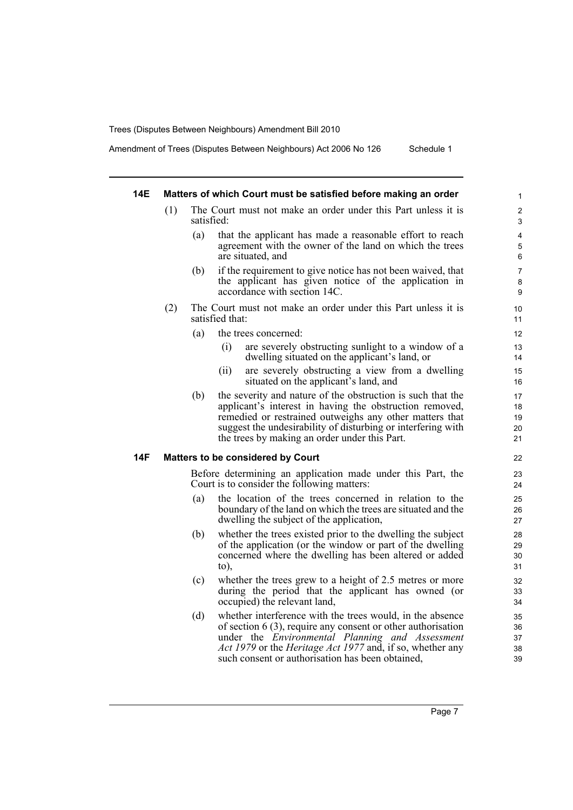Amendment of Trees (Disputes Between Neighbours) Act 2006 No 126 Schedule 1

## **14E Matters of which Court must be satisfied before making an order**

- (1) The Court must not make an order under this Part unless it is satisfied:
	- (a) that the applicant has made a reasonable effort to reach agreement with the owner of the land on which the trees are situated, and
	- (b) if the requirement to give notice has not been waived, that the applicant has given notice of the application in accordance with section 14C.
- (2) The Court must not make an order under this Part unless it is satisfied that:
	- (a) the trees concerned:
		- (i) are severely obstructing sunlight to a window of a dwelling situated on the applicant's land, or
		- (ii) are severely obstructing a view from a dwelling situated on the applicant's land, and
	- (b) the severity and nature of the obstruction is such that the applicant's interest in having the obstruction removed, remedied or restrained outweighs any other matters that suggest the undesirability of disturbing or interfering with the trees by making an order under this Part.

#### **14F Matters to be considered by Court**

Before determining an application made under this Part, the Court is to consider the following matters:

- (a) the location of the trees concerned in relation to the boundary of the land on which the trees are situated and the dwelling the subject of the application,
- (b) whether the trees existed prior to the dwelling the subject of the application (or the window or part of the dwelling concerned where the dwelling has been altered or added to),
- (c) whether the trees grew to a height of 2.5 metres or more during the period that the applicant has owned (or occupied) the relevant land,
- (d) whether interference with the trees would, in the absence of section 6 (3), require any consent or other authorisation under the *Environmental Planning and Assessment Act 1979* or the *Heritage Act 1977* and, if so, whether any such consent or authorisation has been obtained,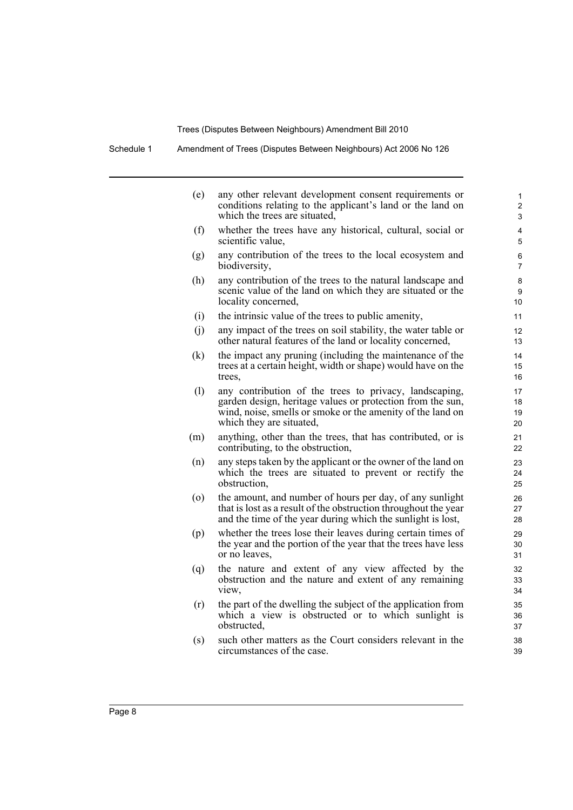Schedule 1 Amendment of Trees (Disputes Between Neighbours) Act 2006 No 126

| (e) | any other relevant development consent requirements or<br>conditions relating to the applicant's land or the land on<br>which the trees are situated,                                                          | 1<br>$\overline{c}$<br>3  |
|-----|----------------------------------------------------------------------------------------------------------------------------------------------------------------------------------------------------------------|---------------------------|
| (f) | whether the trees have any historical, cultural, social or<br>scientific value,                                                                                                                                | 4<br>5                    |
| (g) | any contribution of the trees to the local ecosystem and<br>biodiversity,                                                                                                                                      | 6<br>7                    |
| (h) | any contribution of the trees to the natural landscape and<br>scenic value of the land on which they are situated or the<br>locality concerned,                                                                | 8<br>9<br>10 <sup>1</sup> |
| (i) | the intrinsic value of the trees to public amenity,                                                                                                                                                            | 11                        |
| (j) | any impact of the trees on soil stability, the water table or<br>other natural features of the land or locality concerned,                                                                                     | 12<br>13                  |
| (k) | the impact any pruning (including the maintenance of the<br>trees at a certain height, width or shape) would have on the<br>trees,                                                                             | 14<br>15<br>16            |
| (1) | any contribution of the trees to privacy, landscaping,<br>garden design, heritage values or protection from the sun,<br>wind, noise, smells or smoke or the amenity of the land on<br>which they are situated, | 17<br>18<br>19<br>20      |
| (m) | anything, other than the trees, that has contributed, or is<br>contributing, to the obstruction,                                                                                                               | 21<br>22                  |
| (n) | any steps taken by the applicant or the owner of the land on<br>which the trees are situated to prevent or rectify the<br>obstruction,                                                                         | 23<br>24<br>25            |
| (0) | the amount, and number of hours per day, of any sunlight<br>that is lost as a result of the obstruction throughout the year<br>and the time of the year during which the sunlight is lost,                     | 26<br>27<br>28            |
| (p) | whether the trees lose their leaves during certain times of<br>the year and the portion of the year that the trees have less<br>or no leaves.                                                                  | 29<br>30<br>31            |
| (q) | the nature and extent of any view affected by the<br>obstruction and the nature and extent of any remaining<br>view,                                                                                           | 32<br>33<br>34            |
| (r) | the part of the dwelling the subject of the application from<br>which a view is obstructed or to which sunlight is<br>obstructed.                                                                              | 35<br>36<br>37            |
| (s) | such other matters as the Court considers relevant in the<br>circumstances of the case.                                                                                                                        | 38<br>39                  |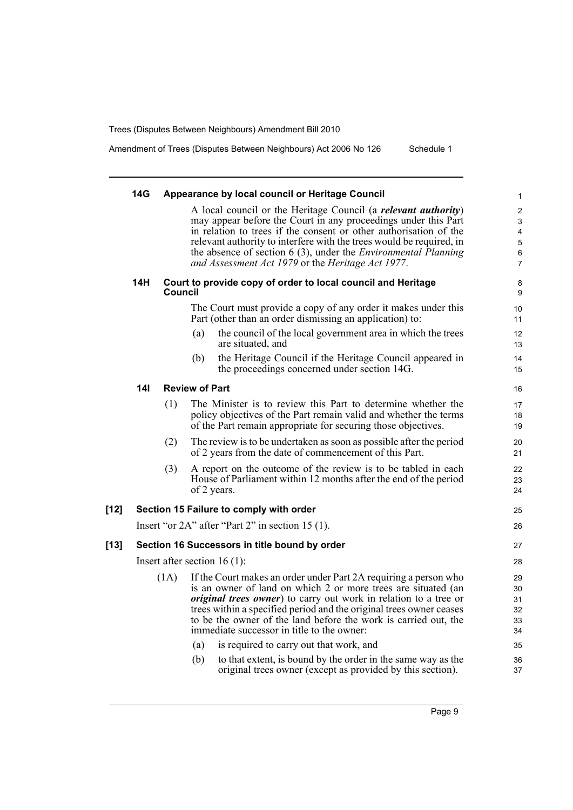Amendment of Trees (Disputes Between Neighbours) Act 2006 No 126 Schedule 1

|      | 14G             |         | Appearance by local council or Heritage Council                                                                                                 | 1                       |
|------|-----------------|---------|-------------------------------------------------------------------------------------------------------------------------------------------------|-------------------------|
|      |                 |         | A local council or the Heritage Council (a relevant authority)                                                                                  | $\sqrt{2}$              |
|      |                 |         | may appear before the Court in any proceedings under this Part                                                                                  | 3                       |
|      |                 |         | in relation to trees if the consent or other authorisation of the                                                                               | $\overline{\mathbf{4}}$ |
|      |                 |         | relevant authority to interfere with the trees would be required, in<br>the absence of section $6(3)$ , under the <i>Environmental Planning</i> | $\mathbf 5$<br>$\,6\,$  |
|      |                 |         | and Assessment Act 1979 or the Heritage Act 1977.                                                                                               | $\overline{7}$          |
|      | 14H             | Council | Court to provide copy of order to local council and Heritage                                                                                    | 8<br>9                  |
|      |                 |         | The Court must provide a copy of any order it makes under this<br>Part (other than an order dismissing an application) to:                      | 10<br>11                |
|      |                 |         | the council of the local government area in which the trees<br>(a)<br>are situated, and                                                         | 12<br>13                |
|      |                 |         | the Heritage Council if the Heritage Council appeared in<br>(b)<br>the proceedings concerned under section 14G.                                 | 14<br>15                |
|      | 14 <sub>l</sub> |         | <b>Review of Part</b>                                                                                                                           | 16                      |
|      |                 | (1)     | The Minister is to review this Part to determine whether the                                                                                    | 17                      |
|      |                 |         | policy objectives of the Part remain valid and whether the terms                                                                                | 18                      |
|      |                 |         | of the Part remain appropriate for securing those objectives.                                                                                   | 19                      |
|      |                 | (2)     | The review is to be undertaken as soon as possible after the period<br>of 2 years from the date of commencement of this Part.                   | 20<br>21                |
|      |                 | (3)     | A report on the outcome of the review is to be tabled in each                                                                                   | 22                      |
|      |                 |         | House of Parliament within 12 months after the end of the period                                                                                | 23                      |
|      |                 |         | of 2 years.                                                                                                                                     | 24                      |
| [12] |                 |         | Section 15 Failure to comply with order                                                                                                         | 25                      |
|      |                 |         | Insert "or $2A$ " after "Part 2" in section 15 (1).                                                                                             | 26                      |
| [13] |                 |         | Section 16 Successors in title bound by order                                                                                                   | 27                      |
|      |                 |         | Insert after section $16(1)$ :                                                                                                                  | 28                      |
|      |                 | (1A)    | If the Court makes an order under Part 2A requiring a person who                                                                                | 29                      |
|      |                 |         | is an owner of land on which 2 or more trees are situated (an                                                                                   | 30                      |
|      |                 |         | <i>original trees owner</i> ) to carry out work in relation to a tree or                                                                        | 31                      |
|      |                 |         | trees within a specified period and the original trees owner ceases<br>to be the owner of the land before the work is carried out, the          | 32<br>33                |
|      |                 |         | immediate successor in title to the owner:                                                                                                      | 34                      |
|      |                 |         | is required to carry out that work, and<br>(a)                                                                                                  | 35                      |
|      |                 |         | to that extent, is bound by the order in the same way as the<br>(b)                                                                             | 36                      |
|      |                 |         | original trees owner (except as provided by this section).                                                                                      | 37                      |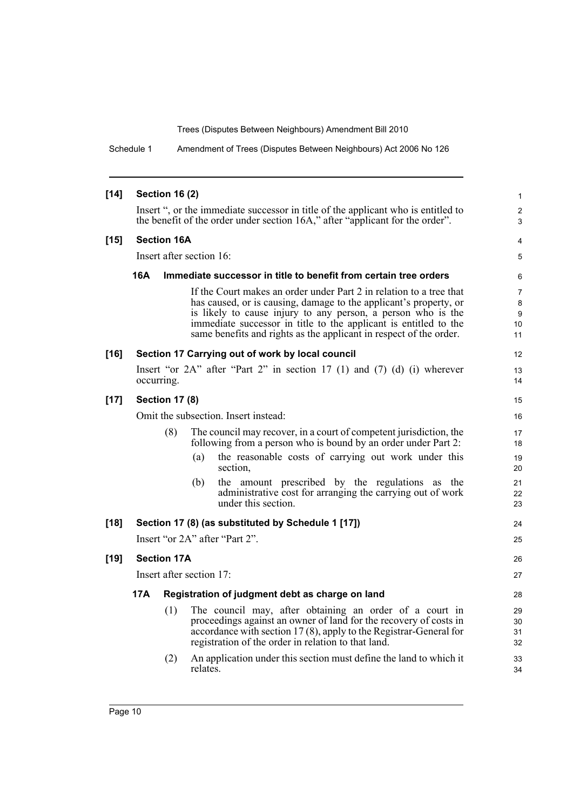Schedule 1 Amendment of Trees (Disputes Between Neighbours) Act 2006 No 126

| $[14]$ | <b>Section 16 (2)</b>                                                                                                                                              |                       |                          |                                                                                                                                                                                                                                                                                                                                                    |                                      |  |  |
|--------|--------------------------------------------------------------------------------------------------------------------------------------------------------------------|-----------------------|--------------------------|----------------------------------------------------------------------------------------------------------------------------------------------------------------------------------------------------------------------------------------------------------------------------------------------------------------------------------------------------|--------------------------------------|--|--|
|        | Insert ", or the immediate successor in title of the applicant who is entitled to<br>the benefit of the order under section 16A," after "applicant for the order". |                       |                          |                                                                                                                                                                                                                                                                                                                                                    |                                      |  |  |
| $[15]$ |                                                                                                                                                                    | <b>Section 16A</b>    |                          |                                                                                                                                                                                                                                                                                                                                                    | 4                                    |  |  |
|        |                                                                                                                                                                    |                       | Insert after section 16: |                                                                                                                                                                                                                                                                                                                                                    | 5                                    |  |  |
|        | 16A                                                                                                                                                                |                       |                          | Immediate successor in title to benefit from certain tree orders                                                                                                                                                                                                                                                                                   | 6                                    |  |  |
|        |                                                                                                                                                                    |                       |                          | If the Court makes an order under Part 2 in relation to a tree that<br>has caused, or is causing, damage to the applicant's property, or<br>is likely to cause injury to any person, a person who is the<br>immediate successor in title to the applicant is entitled to the<br>same benefits and rights as the applicant in respect of the order. | $\overline{7}$<br>8<br>9<br>10<br>11 |  |  |
| $[16]$ |                                                                                                                                                                    |                       |                          | Section 17 Carrying out of work by local council                                                                                                                                                                                                                                                                                                   | 12                                   |  |  |
|        |                                                                                                                                                                    | occurring.            |                          | Insert "or $2A$ " after "Part 2" in section 17 (1) and (7) (d) (i) wherever                                                                                                                                                                                                                                                                        | 13<br>14                             |  |  |
| $[17]$ |                                                                                                                                                                    | <b>Section 17 (8)</b> |                          |                                                                                                                                                                                                                                                                                                                                                    | 15                                   |  |  |
|        | Omit the subsection. Insert instead:                                                                                                                               |                       |                          |                                                                                                                                                                                                                                                                                                                                                    | 16                                   |  |  |
|        | (8)<br>The council may recover, in a court of competent jurisdiction, the<br>following from a person who is bound by an order under Part 2:                        |                       |                          |                                                                                                                                                                                                                                                                                                                                                    | 17<br>18                             |  |  |
|        |                                                                                                                                                                    |                       | (a)                      | the reasonable costs of carrying out work under this<br>section.                                                                                                                                                                                                                                                                                   | 19<br>20                             |  |  |
|        |                                                                                                                                                                    |                       | (b)                      | the amount prescribed by the regulations as the<br>administrative cost for arranging the carrying out of work<br>under this section.                                                                                                                                                                                                               | 21<br>22<br>23                       |  |  |
| $[18]$ |                                                                                                                                                                    |                       |                          | Section 17 (8) (as substituted by Schedule 1 [17])                                                                                                                                                                                                                                                                                                 | 24                                   |  |  |
|        |                                                                                                                                                                    |                       |                          | Insert "or 2A" after "Part 2".                                                                                                                                                                                                                                                                                                                     | 25                                   |  |  |
| $[19]$ |                                                                                                                                                                    | <b>Section 17A</b>    |                          |                                                                                                                                                                                                                                                                                                                                                    | 26                                   |  |  |
|        |                                                                                                                                                                    |                       | Insert after section 17: |                                                                                                                                                                                                                                                                                                                                                    | 27                                   |  |  |
|        | 17A<br>Registration of judgment debt as charge on land                                                                                                             |                       |                          |                                                                                                                                                                                                                                                                                                                                                    | 28                                   |  |  |
|        |                                                                                                                                                                    | (1)                   |                          | The council may, after obtaining an order of a court in<br>proceedings against an owner of land for the recovery of costs in<br>$\alpha$ accordance with section 17(8), apply to the Registrar-General for<br>registration of the order in relation to that land.                                                                                  | 29<br>30<br>31<br>32                 |  |  |
|        |                                                                                                                                                                    | (2)                   | relates.                 | An application under this section must define the land to which it                                                                                                                                                                                                                                                                                 | 33<br>34                             |  |  |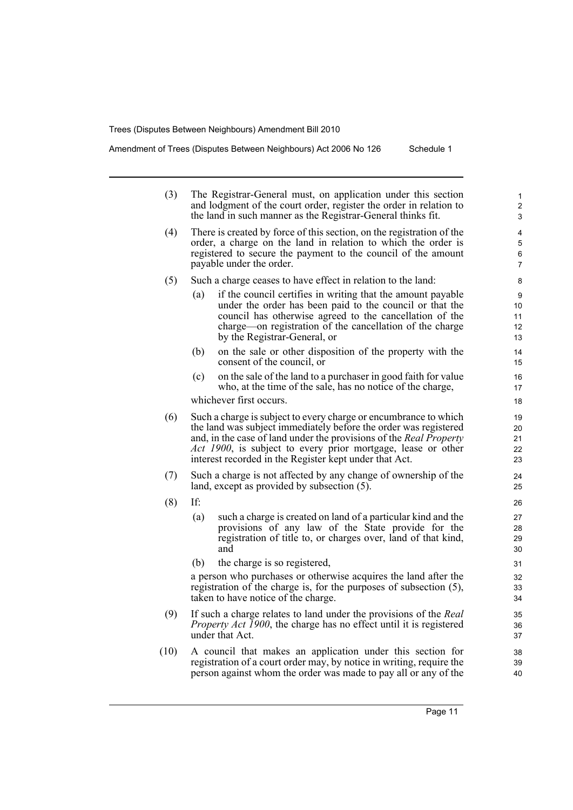Amendment of Trees (Disputes Between Neighbours) Act 2006 No 126 Schedule 1

| (3) | The Registrar-General must, on application under this section<br>and lodgment of the court order, register the order in relation to<br>the land in such manner as the Registrar-General thinks fit. | 1<br>2<br>3                                                                                                                                                                                                                                                                                                                          |                            |
|-----|-----------------------------------------------------------------------------------------------------------------------------------------------------------------------------------------------------|--------------------------------------------------------------------------------------------------------------------------------------------------------------------------------------------------------------------------------------------------------------------------------------------------------------------------------------|----------------------------|
| (4) |                                                                                                                                                                                                     | There is created by force of this section, on the registration of the<br>order, a charge on the land in relation to which the order is<br>registered to secure the payment to the council of the amount<br>payable under the order.                                                                                                  | 4<br>5<br>6<br>7           |
| (5) |                                                                                                                                                                                                     | Such a charge ceases to have effect in relation to the land:                                                                                                                                                                                                                                                                         | 8                          |
|     | (a)                                                                                                                                                                                                 | if the council certifies in writing that the amount payable<br>under the order has been paid to the council or that the<br>council has otherwise agreed to the cancellation of the<br>charge—on registration of the cancellation of the charge<br>by the Registrar-General, or                                                       | 9<br>10<br>11<br>12<br>13  |
|     | (b)                                                                                                                                                                                                 | on the sale or other disposition of the property with the<br>consent of the council, or                                                                                                                                                                                                                                              | 14<br>15                   |
|     | (c)                                                                                                                                                                                                 | on the sale of the land to a purchaser in good faith for value<br>who, at the time of the sale, has no notice of the charge,                                                                                                                                                                                                         | 16<br>17                   |
|     |                                                                                                                                                                                                     | whichever first occurs.                                                                                                                                                                                                                                                                                                              | 18                         |
| (6) |                                                                                                                                                                                                     | Such a charge is subject to every charge or encumbrance to which<br>the land was subject immediately before the order was registered<br>and, in the case of land under the provisions of the Real Property<br>Act 1900, is subject to every prior mortgage, lease or other<br>interest recorded in the Register kept under that Act. | 19<br>20<br>21<br>22<br>23 |
| (7) |                                                                                                                                                                                                     | Such a charge is not affected by any change of ownership of the<br>land, except as provided by subsection (5).                                                                                                                                                                                                                       | 24<br>25                   |
| (8) | If:                                                                                                                                                                                                 |                                                                                                                                                                                                                                                                                                                                      | 26                         |
|     | (a)                                                                                                                                                                                                 | such a charge is created on land of a particular kind and the<br>provisions of any law of the State provide for the<br>registration of title to, or charges over, land of that kind,<br>and                                                                                                                                          | 27<br>28<br>29<br>30       |
|     | (b)                                                                                                                                                                                                 | the charge is so registered,                                                                                                                                                                                                                                                                                                         | 31                         |
|     |                                                                                                                                                                                                     | a person who purchases or otherwise acquires the land after the<br>registration of the charge is, for the purposes of subsection (5),<br>taken to have notice of the charge.                                                                                                                                                         | 32<br>33<br>34             |
| (9) |                                                                                                                                                                                                     | If such a charge relates to land under the provisions of the Real<br><i>Property Act 1900</i> , the charge has no effect until it is registered<br>under that Act.                                                                                                                                                                   | 35<br>36<br>37             |
| 10) |                                                                                                                                                                                                     | A council that makes an application under this section for                                                                                                                                                                                                                                                                           | 38                         |

(10) A council that makes an application under this section for registration of a court order may, by notice in writing, require the person against whom the order was made to pay all or any of the

39 40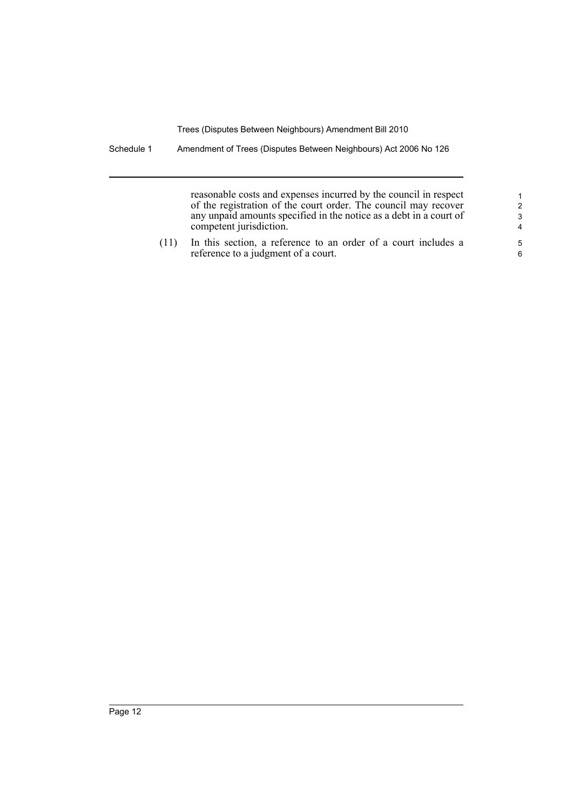Schedule 1 Amendment of Trees (Disputes Between Neighbours) Act 2006 No 126

reasonable costs and expenses incurred by the council in respect of the registration of the court order. The council may recover any unpaid amounts specified in the notice as a debt in a court of competent jurisdiction.

(11) In this section, a reference to an order of a court includes a reference to a judgment of a court.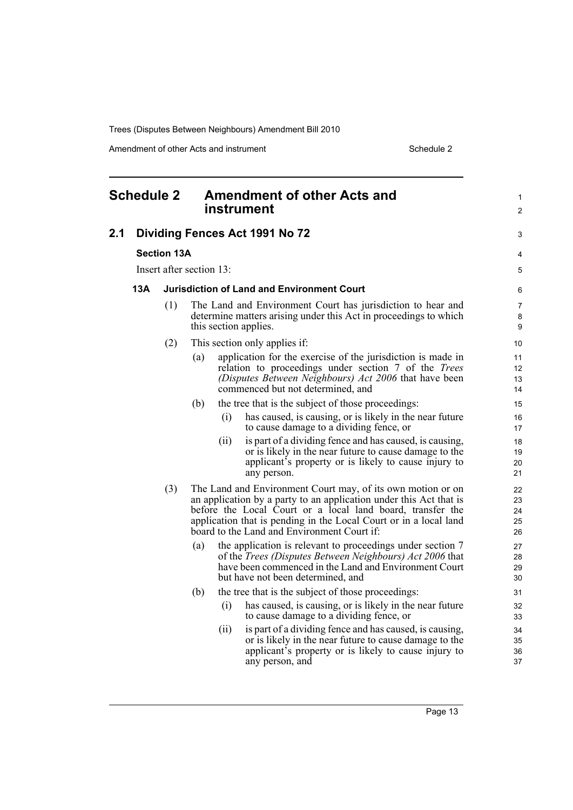Amendment of other Acts and instrument Schedule 2

<span id="page-18-0"></span>

| <b>Schedule 2</b> |                                |                    |                          | <b>Amendment of other Acts and</b><br>instrument | 1<br>$\overline{2}$                                                                                                                                                                                                                                                                                                 |                            |
|-------------------|--------------------------------|--------------------|--------------------------|--------------------------------------------------|---------------------------------------------------------------------------------------------------------------------------------------------------------------------------------------------------------------------------------------------------------------------------------------------------------------------|----------------------------|
| 2.1               | Dividing Fences Act 1991 No 72 | 3                  |                          |                                                  |                                                                                                                                                                                                                                                                                                                     |                            |
|                   |                                | <b>Section 13A</b> |                          |                                                  |                                                                                                                                                                                                                                                                                                                     | 4                          |
|                   |                                |                    | Insert after section 13: |                                                  |                                                                                                                                                                                                                                                                                                                     | 5                          |
|                   | 13A                            |                    |                          |                                                  | <b>Jurisdiction of Land and Environment Court</b>                                                                                                                                                                                                                                                                   | 6                          |
|                   |                                | (1)                |                          |                                                  | The Land and Environment Court has jurisdiction to hear and<br>determine matters arising under this Act in proceedings to which<br>this section applies.                                                                                                                                                            | 7<br>8<br>9                |
|                   |                                | (2)                |                          |                                                  | This section only applies if:                                                                                                                                                                                                                                                                                       | 10                         |
|                   |                                |                    | (a)                      |                                                  | application for the exercise of the jurisdiction is made in<br>relation to proceedings under section 7 of the <i>Trees</i><br>(Disputes Between Neighbours) Act 2006 that have been<br>commenced but not determined, and                                                                                            | 11<br>12<br>13<br>14       |
|                   |                                |                    | (b)                      |                                                  | the tree that is the subject of those proceedings:                                                                                                                                                                                                                                                                  | 15                         |
|                   |                                |                    |                          | (i)                                              | has caused, is causing, or is likely in the near future<br>to cause damage to a dividing fence, or                                                                                                                                                                                                                  | 16<br>17                   |
|                   |                                |                    |                          | (ii)                                             | is part of a dividing fence and has caused, is causing,<br>or is likely in the near future to cause damage to the<br>applicant's property or is likely to cause injury to<br>any person.                                                                                                                            | 18<br>19<br>20<br>21       |
|                   |                                | (3)                |                          |                                                  | The Land and Environment Court may, of its own motion or on<br>an application by a party to an application under this Act that is<br>before the Local Court or a local land board, transfer the<br>application that is pending in the Local Court or in a local land<br>board to the Land and Environment Court if: | 22<br>23<br>24<br>25<br>26 |
|                   |                                |                    | (a)                      |                                                  | the application is relevant to proceedings under section 7<br>of the <i>Trees</i> (Disputes Between Neighbours) Act 2006 that<br>have been commenced in the Land and Environment Court<br>but have not been determined, and                                                                                         | 27<br>28<br>29<br>30       |
|                   |                                |                    | (b)                      |                                                  | the tree that is the subject of those proceedings:                                                                                                                                                                                                                                                                  | 31                         |
|                   |                                |                    |                          | (i)                                              | has caused, is causing, or is likely in the near future<br>to cause damage to a dividing fence, or                                                                                                                                                                                                                  | 32<br>33                   |
|                   |                                |                    |                          | (ii)                                             | is part of a dividing fence and has caused, is causing,<br>or is likely in the near future to cause damage to the<br>applicant's property or is likely to cause injury to<br>any person, and                                                                                                                        | 34<br>35<br>36<br>37       |